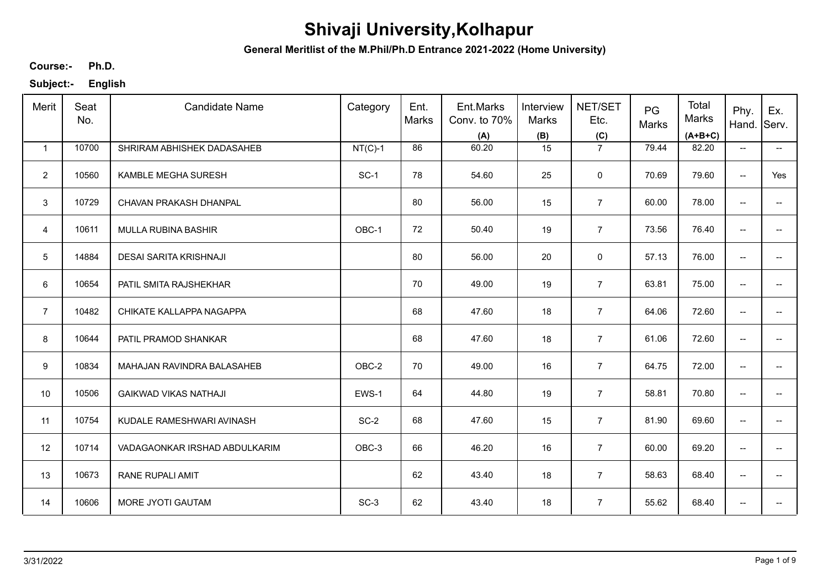**General Meritlist of the M.Phil/Ph.D Entrance 2021-2022 (Home University)**

**Ph.D. Course:-**

| Merit          | Seat<br>No. | <b>Candidate Name</b>         | Category  | Ent.<br>Marks | Ent.Marks<br>Conv. to 70%<br>(A) | Interview<br>Marks<br>(B) | NET/SET<br>Etc.<br>(C) | PG<br>Marks | Total<br>Marks<br>$(A+B+C)$ | Phy.<br>Hand.            | Ex.<br>Serv.             |
|----------------|-------------|-------------------------------|-----------|---------------|----------------------------------|---------------------------|------------------------|-------------|-----------------------------|--------------------------|--------------------------|
| $\mathbf{1}$   | 10700       | SHRIRAM ABHISHEK DADASAHEB    | $NT(C)-1$ | 86            | 60.20                            | 15                        | $\overline{7}$         | 79.44       | 82.20                       | $\overline{\phantom{a}}$ | $\overline{\phantom{a}}$ |
| $\overline{2}$ | 10560       | KAMBLE MEGHA SURESH           | SC-1      | 78            | 54.60                            | 25                        | $\mathbf 0$            | 70.69       | 79.60                       | $\overline{\phantom{m}}$ | Yes                      |
| 3              | 10729       | CHAVAN PRAKASH DHANPAL        |           | 80            | 56.00                            | 15                        | $\overline{7}$         | 60.00       | 78.00                       | $\overline{\phantom{a}}$ |                          |
| 4              | 10611       | <b>MULLA RUBINA BASHIR</b>    | OBC-1     | 72            | 50.40                            | 19                        | $\overline{7}$         | 73.56       | 76.40                       | $\overline{\phantom{a}}$ | $\overline{\phantom{a}}$ |
| 5              | 14884       | DESAI SARITA KRISHNAJI        |           | 80            | 56.00                            | 20                        | 0                      | 57.13       | 76.00                       | $\overline{\phantom{m}}$ | -−                       |
| 6              | 10654       | PATIL SMITA RAJSHEKHAR        |           | 70            | 49.00                            | 19                        | $\overline{7}$         | 63.81       | 75.00                       | $\overline{\phantom{m}}$ | $\overline{\phantom{a}}$ |
| $\overline{7}$ | 10482       | CHIKATE KALLAPPA NAGAPPA      |           | 68            | 47.60                            | 18                        | $\overline{7}$         | 64.06       | 72.60                       | $\overline{\phantom{m}}$ | -−                       |
| 8              | 10644       | PATIL PRAMOD SHANKAR          |           | 68            | 47.60                            | 18                        | $\overline{7}$         | 61.06       | 72.60                       | $\overline{\phantom{m}}$ | $\overline{\phantom{a}}$ |
| 9              | 10834       | MAHAJAN RAVINDRA BALASAHEB    | OBC-2     | 70            | 49.00                            | 16                        | $\overline{7}$         | 64.75       | 72.00                       | $\overline{\phantom{a}}$ |                          |
| 10             | 10506       | <b>GAIKWAD VIKAS NATHAJI</b>  | EWS-1     | 64            | 44.80                            | 19                        | $\overline{7}$         | 58.81       | 70.80                       | $\overline{\phantom{a}}$ | $\overline{a}$           |
| 11             | 10754       | KUDALE RAMESHWARI AVINASH     | $SC-2$    | 68            | 47.60                            | 15                        | $\overline{7}$         | 81.90       | 69.60                       | $\overline{\phantom{a}}$ | $-$                      |
| 12             | 10714       | VADAGAONKAR IRSHAD ABDULKARIM | OBC-3     | 66            | 46.20                            | 16                        | $\overline{7}$         | 60.00       | 69.20                       | $\overline{\phantom{a}}$ | $\overline{\phantom{a}}$ |
| 13             | 10673       | <b>RANE RUPALI AMIT</b>       |           | 62            | 43.40                            | 18                        | $\overline{7}$         | 58.63       | 68.40                       | $\overline{\phantom{a}}$ | $\overline{\phantom{a}}$ |
| 14             | 10606       | MORE JYOTI GAUTAM             | $SC-3$    | 62            | 43.40                            | 18                        | $\overline{7}$         | 55.62       | 68.40                       | $\overline{\phantom{a}}$ | -−                       |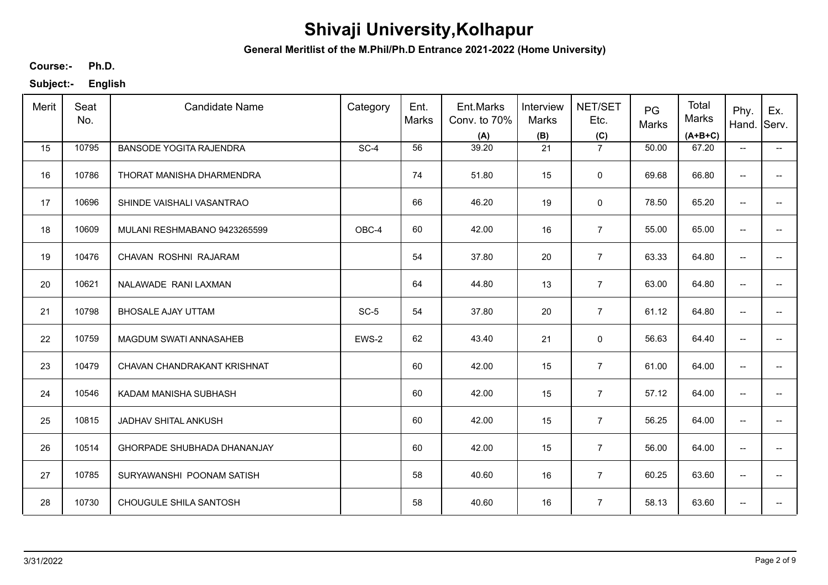**General Meritlist of the M.Phil/Ph.D Entrance 2021-2022 (Home University)**

**Ph.D. Course:-**

| Merit | Seat<br>No. | <b>Candidate Name</b>          | Category | Ent.<br>Marks | Ent.Marks<br>Conv. to 70%<br>(A) | Interview<br>Marks<br>(B) | NET/SET<br>Etc.<br>(C) | PG<br>Marks | Total<br>Marks<br>$(A+B+C)$ | Phy.<br>Hand.                       | Ex.<br>Serv.             |
|-------|-------------|--------------------------------|----------|---------------|----------------------------------|---------------------------|------------------------|-------------|-----------------------------|-------------------------------------|--------------------------|
| 15    | 10795       | <b>BANSODE YOGITA RAJENDRA</b> | SC-4     | 56            | 39.20                            | 21                        | $\overline{7}$         | 50.00       | 67.20                       | $\overline{\phantom{a}}$            | −−                       |
| 16    | 10786       | THORAT MANISHA DHARMENDRA      |          | 74            | 51.80                            | 15                        | $\mathbf 0$            | 69.68       | 66.80                       | $\hspace{0.05cm}$ $\hspace{0.05cm}$ |                          |
| 17    | 10696       | SHINDE VAISHALI VASANTRAO      |          | 66            | 46.20                            | 19                        | $\mathbf 0$            | 78.50       | 65.20                       | $\overline{\phantom{a}}$            | $\overline{\phantom{a}}$ |
| 18    | 10609       | MULANI RESHMABANO 9423265599   | OBC-4    | 60            | 42.00                            | 16                        | $\overline{7}$         | 55.00       | 65.00                       | $\overline{\phantom{a}}$            | $\overline{\phantom{a}}$ |
| 19    | 10476       | CHAVAN ROSHNI RAJARAM          |          | 54            | 37.80                            | 20                        | $\overline{7}$         | 63.33       | 64.80                       | $\overline{\phantom{a}}$            | $\overline{\phantom{a}}$ |
| 20    | 10621       | NALAWADE RANI LAXMAN           |          | 64            | 44.80                            | 13                        | $\overline{7}$         | 63.00       | 64.80                       | $\overline{\phantom{a}}$            |                          |
| 21    | 10798       | <b>BHOSALE AJAY UTTAM</b>      | $SC-5$   | 54            | 37.80                            | 20                        | $\overline{7}$         | 61.12       | 64.80                       | $\overline{\phantom{m}}$            | $\overline{\phantom{a}}$ |
| 22    | 10759       | MAGDUM SWATI ANNASAHEB         | EWS-2    | 62            | 43.40                            | 21                        | $\mathbf 0$            | 56.63       | 64.40                       | $\overline{\phantom{a}}$            |                          |
| 23    | 10479       | CHAVAN CHANDRAKANT KRISHNAT    |          | 60            | 42.00                            | 15                        | $\overline{7}$         | 61.00       | 64.00                       | $\overline{\phantom{a}}$            |                          |
| 24    | 10546       | KADAM MANISHA SUBHASH          |          | 60            | 42.00                            | 15                        | $\overline{7}$         | 57.12       | 64.00                       | $\overline{\phantom{a}}$            |                          |
| 25    | 10815       | JADHAV SHITAL ANKUSH           |          | 60            | 42.00                            | 15                        | $\overline{7}$         | 56.25       | 64.00                       | $\overline{\phantom{a}}$            | $-$                      |
| 26    | 10514       | GHORPADE SHUBHADA DHANANJAY    |          | 60            | 42.00                            | 15                        | $\overline{7}$         | 56.00       | 64.00                       | $\overline{\phantom{a}}$            | $- -$                    |
| 27    | 10785       | SURYAWANSHI POONAM SATISH      |          | 58            | 40.60                            | 16                        | $\overline{7}$         | 60.25       | 63.60                       | $\overline{\phantom{a}}$            | $\overline{\phantom{a}}$ |
| 28    | 10730       | CHOUGULE SHILA SANTOSH         |          | 58            | 40.60                            | 16                        | $\overline{7}$         | 58.13       | 63.60                       | $\overline{\phantom{a}}$            | $\overline{\phantom{a}}$ |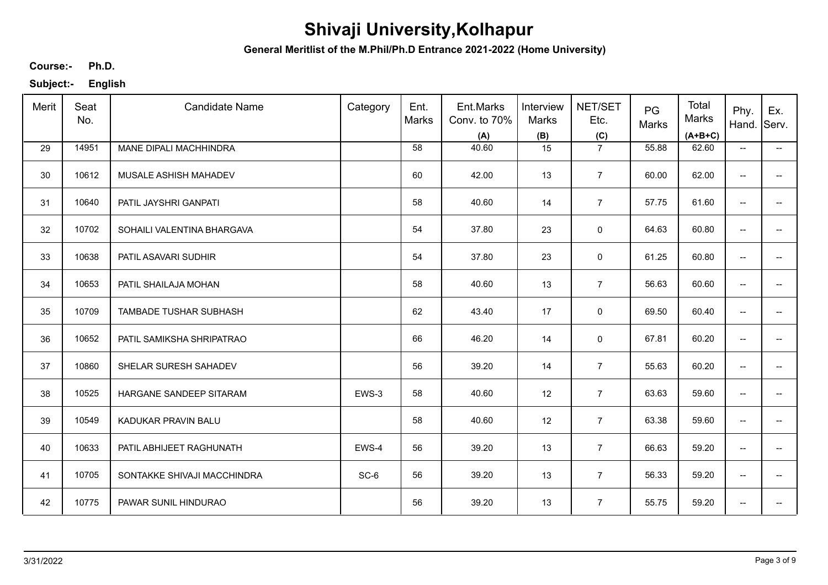**General Meritlist of the M.Phil/Ph.D Entrance 2021-2022 (Home University)**

**Ph.D. Course:-**

| Merit | Seat<br>No. | <b>Candidate Name</b>       | Category | Ent.<br>Marks | Ent.Marks<br>Conv. to 70%<br>(A) | Interview<br>Marks<br>(B) | NET/SET<br>Etc.<br>(C) | PG<br>Marks | Total<br>Marks<br>$(A+B+C)$ | Phy.<br>Hand.                       | Ex.<br>Serv.             |
|-------|-------------|-----------------------------|----------|---------------|----------------------------------|---------------------------|------------------------|-------------|-----------------------------|-------------------------------------|--------------------------|
| 29    | 14951       | MANE DIPALI MACHHINDRA      |          | 58            | 40.60                            | 15                        | $\overline{7}$         | 55.88       | 62.60                       | $\overline{\phantom{a}}$            | $\overline{\phantom{a}}$ |
| 30    | 10612       | MUSALE ASHISH MAHADEV       |          | 60            | 42.00                            | 13                        | $\overline{7}$         | 60.00       | 62.00                       | $\overline{\phantom{a}}$            | $\overline{\phantom{a}}$ |
| 31    | 10640       | PATIL JAYSHRI GANPATI       |          | 58            | 40.60                            | 14                        | $\overline{7}$         | 57.75       | 61.60                       | $\hspace{0.05cm}$ $\hspace{0.05cm}$ | $\overline{\phantom{a}}$ |
| 32    | 10702       | SOHAILI VALENTINA BHARGAVA  |          | 54            | 37.80                            | 23                        | $\mathsf 0$            | 64.63       | 60.80                       | $\overline{\phantom{a}}$            | $\overline{\phantom{a}}$ |
| 33    | 10638       | PATIL ASAVARI SUDHIR        |          | 54            | 37.80                            | 23                        | $\mathbf 0$            | 61.25       | 60.80                       | $\overline{\phantom{a}}$            | $\overline{\phantom{a}}$ |
| 34    | 10653       | PATIL SHAILAJA MOHAN        |          | 58            | 40.60                            | 13                        | $\overline{7}$         | 56.63       | 60.60                       | $\overline{\phantom{a}}$            | $- -$                    |
| 35    | 10709       | TAMBADE TUSHAR SUBHASH      |          | 62            | 43.40                            | 17                        | $\mathbf 0$            | 69.50       | 60.40                       | $\overline{\phantom{a}}$            | $\overline{\phantom{a}}$ |
| 36    | 10652       | PATIL SAMIKSHA SHRIPATRAO   |          | 66            | 46.20                            | 14                        | $\mathbf 0$            | 67.81       | 60.20                       | $\overline{\phantom{a}}$            | $- -$                    |
| 37    | 10860       | SHELAR SURESH SAHADEV       |          | 56            | 39.20                            | 14                        | $\overline{7}$         | 55.63       | 60.20                       | $\overline{\phantom{a}}$            | $\overline{\phantom{a}}$ |
| 38    | 10525       | HARGANE SANDEEP SITARAM     | EWS-3    | 58            | 40.60                            | 12                        | $\overline{7}$         | 63.63       | 59.60                       | $\overline{\phantom{a}}$            | $\overline{\phantom{a}}$ |
| 39    | 10549       | KADUKAR PRAVIN BALU         |          | 58            | 40.60                            | 12                        | $\overline{7}$         | 63.38       | 59.60                       | $\overline{\phantom{a}}$            | $\overline{\phantom{a}}$ |
| 40    | 10633       | PATIL ABHIJEET RAGHUNATH    | EWS-4    | 56            | 39.20                            | 13                        | $\overline{7}$         | 66.63       | 59.20                       | $\overline{\phantom{a}}$            | $\overline{\phantom{a}}$ |
| 41    | 10705       | SONTAKKE SHIVAJI MACCHINDRA | SC-6     | 56            | 39.20                            | 13                        | $\overline{7}$         | 56.33       | 59.20                       | $\overline{\phantom{a}}$            | $\overline{\phantom{a}}$ |
| 42    | 10775       | PAWAR SUNIL HINDURAO        |          | 56            | 39.20                            | 13                        | $\overline{7}$         | 55.75       | 59.20                       | $\overline{\phantom{a}}$            | $\overline{\phantom{a}}$ |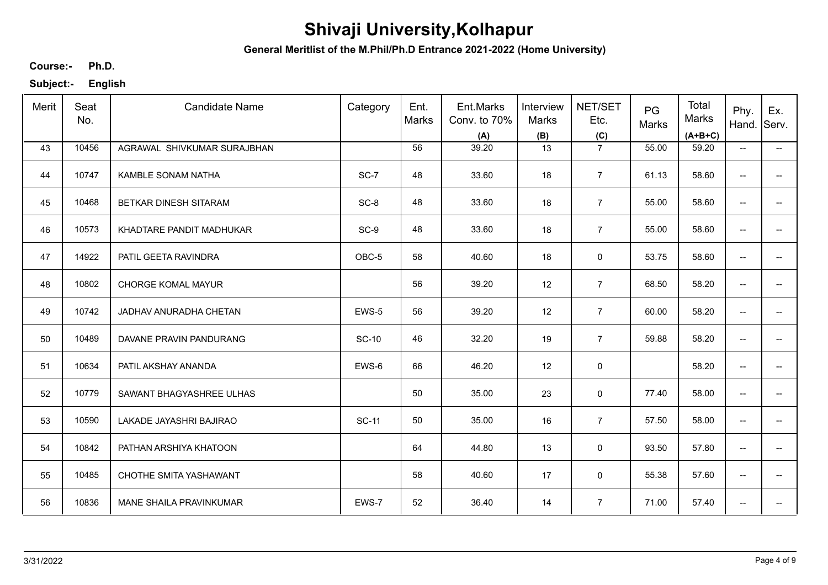**General Meritlist of the M.Phil/Ph.D Entrance 2021-2022 (Home University)**

**Ph.D. Course:-**

| Merit | Seat<br>No. | <b>Candidate Name</b>       | Category     | Ent.<br>Marks | Ent.Marks<br>Conv. to 70%<br>(A) | Interview<br><b>Marks</b><br>(B) | NET/SET<br>Etc.<br>(C) | PG<br>Marks | Total<br>Marks<br>$(A+B+C)$ | Phy.<br>Hand.                       | Ex.<br>Serv.             |
|-------|-------------|-----------------------------|--------------|---------------|----------------------------------|----------------------------------|------------------------|-------------|-----------------------------|-------------------------------------|--------------------------|
| 43    | 10456       | AGRAWAL SHIVKUMAR SURAJBHAN |              | 56            | 39.20                            | 13                               | $\overline{7}$         | 55.00       | 59.20                       | $\overline{\phantom{a}}$            | $\overline{\phantom{a}}$ |
| 44    | 10747       | <b>KAMBLE SONAM NATHA</b>   | SC-7         | 48            | 33.60                            | 18                               | $\overline{7}$         | 61.13       | 58.60                       | $\overline{\phantom{a}}$            | $\overline{a}$           |
| 45    | 10468       | BETKAR DINESH SITARAM       | SC-8         | 48            | 33.60                            | 18                               | $\overline{7}$         | 55.00       | 58.60                       | $\overline{\phantom{a}}$            | $-$                      |
| 46    | 10573       | KHADTARE PANDIT MADHUKAR    | SC-9         | 48            | 33.60                            | 18                               | $\overline{7}$         | 55.00       | 58.60                       | $\overline{\phantom{a}}$            | $\overline{\phantom{a}}$ |
| 47    | 14922       | PATIL GEETA RAVINDRA        | OBC-5        | 58            | 40.60                            | 18                               | 0                      | 53.75       | 58.60                       | $\overline{\phantom{m}}$            | $\overline{\phantom{a}}$ |
| 48    | 10802       | <b>CHORGE KOMAL MAYUR</b>   |              | 56            | 39.20                            | 12                               | $\overline{7}$         | 68.50       | 58.20                       | $\overline{\phantom{a}}$            | --                       |
| 49    | 10742       | JADHAV ANURADHA CHETAN      | EWS-5        | 56            | 39.20                            | 12                               | $\overline{7}$         | 60.00       | 58.20                       | $\overline{\phantom{m}}$            | $\overline{\phantom{a}}$ |
| 50    | 10489       | DAVANE PRAVIN PANDURANG     | <b>SC-10</b> | 46            | 32.20                            | 19                               | $\overline{7}$         | 59.88       | 58.20                       | $\overline{\phantom{m}}$            | $\overline{\phantom{a}}$ |
| 51    | 10634       | PATIL AKSHAY ANANDA         | EWS-6        | 66            | 46.20                            | 12                               | 0                      |             | 58.20                       | $\overline{\phantom{m}}$            | -−                       |
| 52    | 10779       | SAWANT BHAGYASHREE ULHAS    |              | 50            | 35.00                            | 23                               | 0                      | 77.40       | 58.00                       | $\overline{\phantom{a}}$            |                          |
| 53    | 10590       | LAKADE JAYASHRI BAJIRAO     | <b>SC-11</b> | 50            | 35.00                            | 16                               | $\overline{7}$         | 57.50       | 58.00                       | $\overline{\phantom{a}}$            | $-$                      |
| 54    | 10842       | PATHAN ARSHIYA KHATOON      |              | 64            | 44.80                            | 13                               | 0                      | 93.50       | 57.80                       | $\overline{\phantom{a}}$            | $\hspace{0.05cm} \ldots$ |
| 55    | 10485       | CHOTHE SMITA YASHAWANT      |              | 58            | 40.60                            | 17                               | $\mathbf 0$            | 55.38       | 57.60                       | $\overline{\phantom{a}}$            | $\hspace{0.05cm} \ldots$ |
| 56    | 10836       | MANE SHAILA PRAVINKUMAR     | EWS-7        | 52            | 36.40                            | 14                               | $\overline{7}$         | 71.00       | 57.40                       | $\hspace{0.05cm}$ $\hspace{0.05cm}$ | ÷                        |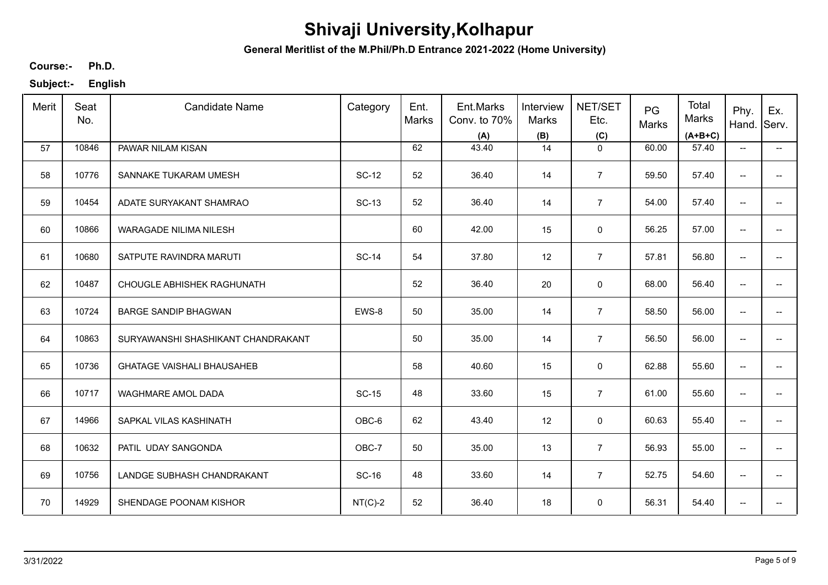**General Meritlist of the M.Phil/Ph.D Entrance 2021-2022 (Home University)**

**Ph.D. Course:-**

| Merit | Seat<br>No. | <b>Candidate Name</b>              | Category     | Ent.<br>Marks | Ent.Marks<br>Conv. to 70%<br>(A) | Interview<br>Marks<br>(B) | NET/SET<br>Etc.<br>(C) | PG<br>Marks | Total<br>Marks<br>$(A+B+C)$ | Phy.<br>Hand.                       | Ex.<br>Serv.                           |
|-------|-------------|------------------------------------|--------------|---------------|----------------------------------|---------------------------|------------------------|-------------|-----------------------------|-------------------------------------|----------------------------------------|
| 57    | 10846       | PAWAR NILAM KISAN                  |              | 62            | 43.40                            | 14                        | $\mathbf 0$            | 60.00       | 57.40                       | $\overline{\phantom{a}}$            | −−                                     |
| 58    | 10776       | SANNAKE TUKARAM UMESH              | <b>SC-12</b> | 52            | 36.40                            | 14                        | $\overline{7}$         | 59.50       | 57.40                       | $\overline{\phantom{a}}$            | $\overline{\phantom{a}}$               |
| 59    | 10454       | ADATE SURYAKANT SHAMRAO            | <b>SC-13</b> | 52            | 36.40                            | 14                        | $\overline{7}$         | 54.00       | 57.40                       | $\overline{\phantom{a}}$            | $\overline{\phantom{a}}$               |
| 60    | 10866       | <b>WARAGADE NILIMA NILESH</b>      |              | 60            | 42.00                            | 15                        | $\mathbf 0$            | 56.25       | 57.00                       | $\overline{\phantom{a}}$            | −−                                     |
| 61    | 10680       | SATPUTE RAVINDRA MARUTI            | <b>SC-14</b> | 54            | 37.80                            | 12                        | $\overline{7}$         | 57.81       | 56.80                       | $\overline{\phantom{a}}$            | $\overline{\phantom{a}}$               |
| 62    | 10487       | CHOUGLE ABHISHEK RAGHUNATH         |              | 52            | 36.40                            | 20                        | $\mathbf 0$            | 68.00       | 56.40                       | $\overline{\phantom{a}}$            | −−                                     |
| 63    | 10724       | <b>BARGE SANDIP BHAGWAN</b>        | EWS-8        | 50            | 35.00                            | 14                        | $\overline{7}$         | 58.50       | 56.00                       | $\overline{\phantom{m}}$            | $\overline{\phantom{a}}$               |
| 64    | 10863       | SURYAWANSHI SHASHIKANT CHANDRAKANT |              | 50            | 35.00                            | 14                        | $\overline{7}$         | 56.50       | 56.00                       | $\overline{\phantom{a}}$            | $\overline{\phantom{a}}$               |
| 65    | 10736       | <b>GHATAGE VAISHALI BHAUSAHEB</b>  |              | 58            | 40.60                            | 15                        | $\mathbf 0$            | 62.88       | 55.60                       | $\overline{\phantom{a}}$            | $\hspace{0.05cm}$ – $\hspace{0.05cm}$  |
| 66    | 10717       | <b>WAGHMARE AMOL DADA</b>          | <b>SC-15</b> | 48            | 33.60                            | 15                        | $\overline{7}$         | 61.00       | 55.60                       | $\overline{\phantom{a}}$            | $\overline{\phantom{a}}$               |
| 67    | 14966       | SAPKAL VILAS KASHINATH             | OBC-6        | 62            | 43.40                            | 12                        | $\mathsf 0$            | 60.63       | 55.40                       | $\overline{\phantom{a}}$            | $\hspace{0.05cm}$ $\hspace{0.05cm}$    |
| 68    | 10632       | PATIL UDAY SANGONDA                | OBC-7        | 50            | 35.00                            | 13                        | $\overline{7}$         | 56.93       | 55.00                       | $\overline{\phantom{a}}$            | $\hspace{0.05cm} \rule{0.5cm}{0.15cm}$ |
| 69    | 10756       | LANDGE SUBHASH CHANDRAKANT         | <b>SC-16</b> | 48            | 33.60                            | 14                        | $\overline{7}$         | 52.75       | 54.60                       | $\overline{\phantom{a}}$            | $\hspace{0.05cm}$ $\hspace{0.05cm}$    |
| 70    | 14929       | SHENDAGE POONAM KISHOR             | $NT(C)-2$    | 52            | 36.40                            | 18                        | $\mathbf 0$            | 56.31       | 54.40                       | $\hspace{0.05cm}$ $\hspace{0.05cm}$ | $\hspace{0.05cm}$ – $\hspace{0.05cm}$  |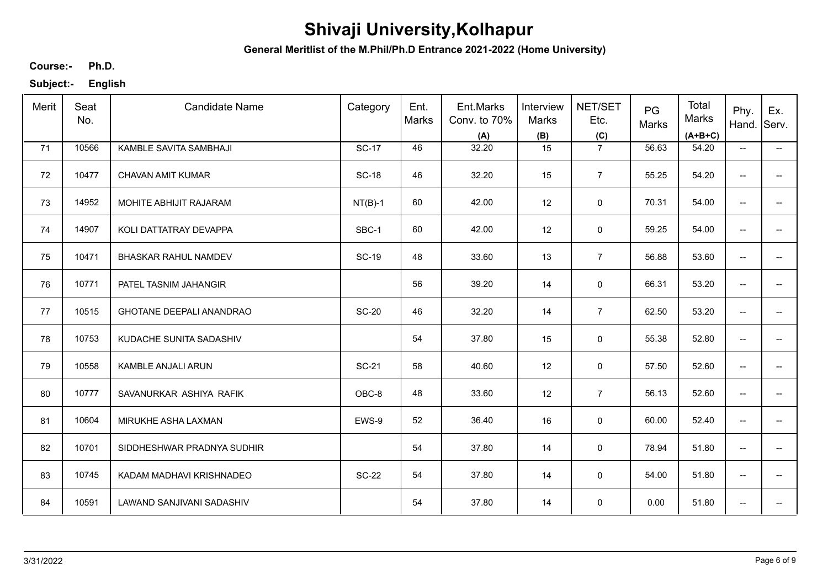**General Meritlist of the M.Phil/Ph.D Entrance 2021-2022 (Home University)**

**Ph.D. Course:-**

| Merit | Seat<br>No. | <b>Candidate Name</b>       | Category     | Ent.<br>Marks | Ent.Marks<br>Conv. to 70%<br>(A) | Interview<br>Marks<br>(B) | NET/SET<br>Etc.<br>(C) | PG<br>Marks | Total<br>Marks<br>$(A+B+C)$ | Phy.<br>Hand.                       | Ex.<br>Serv.             |
|-------|-------------|-----------------------------|--------------|---------------|----------------------------------|---------------------------|------------------------|-------------|-----------------------------|-------------------------------------|--------------------------|
| 71    | 10566       | KAMBLE SAVITA SAMBHAJI      | <b>SC-17</b> | 46            | 32.20                            | 15                        | $\overline{7}$         | 56.63       | 54.20                       | $\overline{\phantom{a}}$            | $\overline{\phantom{a}}$ |
| 72    | 10477       | CHAVAN AMIT KUMAR           | <b>SC-18</b> | 46            | 32.20                            | 15                        | $\overline{7}$         | 55.25       | 54.20                       | $\overline{\phantom{a}}$            | $\overline{\phantom{a}}$ |
| 73    | 14952       | MOHITE ABHIJIT RAJARAM      | $NT(B)-1$    | 60            | 42.00                            | 12                        | $\mathbf 0$            | 70.31       | 54.00                       | $\overline{\phantom{a}}$            | $\overline{\phantom{a}}$ |
| 74    | 14907       | KOLI DATTATRAY DEVAPPA      | SBC-1        | 60            | 42.00                            | 12                        | $\pmb{0}$              | 59.25       | 54.00                       | $\overline{\phantom{a}}$            | $\overline{\phantom{a}}$ |
| 75    | 10471       | <b>BHASKAR RAHUL NAMDEV</b> | <b>SC-19</b> | 48            | 33.60                            | 13                        | $\overline{7}$         | 56.88       | 53.60                       | $\overline{\phantom{a}}$            | $\overline{\phantom{a}}$ |
| 76    | 10771       | PATEL TASNIM JAHANGIR       |              | 56            | 39.20                            | 14                        | $\mathbf 0$            | 66.31       | 53.20                       | $\overline{\phantom{a}}$            | $\overline{\phantom{a}}$ |
| 77    | 10515       | GHOTANE DEEPALI ANANDRAO    | <b>SC-20</b> | 46            | 32.20                            | 14                        | $\overline{7}$         | 62.50       | 53.20                       | $\overline{\phantom{m}}$            | $\overline{\phantom{a}}$ |
| 78    | 10753       | KUDACHE SUNITA SADASHIV     |              | 54            | 37.80                            | 15                        | 0                      | 55.38       | 52.80                       | $\overline{\phantom{a}}$            | $\overline{\phantom{a}}$ |
| 79    | 10558       | KAMBLE ANJALI ARUN          | <b>SC-21</b> | 58            | 40.60                            | 12                        | $\mathbf 0$            | 57.50       | 52.60                       | $\overline{\phantom{a}}$            |                          |
| 80    | 10777       | SAVANURKAR ASHIYA RAFIK     | OBC-8        | 48            | 33.60                            | 12                        | $\overline{7}$         | 56.13       | 52.60                       | $\overline{\phantom{a}}$            |                          |
| 81    | 10604       | MIRUKHE ASHA LAXMAN         | EWS-9        | 52            | 36.40                            | 16                        | $\mathsf 0$            | 60.00       | 52.40                       | $\overline{\phantom{a}}$            | $-$                      |
| 82    | 10701       | SIDDHESHWAR PRADNYA SUDHIR  |              | 54            | 37.80                            | 14                        | $\mathbf 0$            | 78.94       | 51.80                       | $\overline{\phantom{a}}$            | $\overline{\phantom{a}}$ |
| 83    | 10745       | KADAM MADHAVI KRISHNADEO    | <b>SC-22</b> | 54            | 37.80                            | 14                        | $\mathbf 0$            | 54.00       | 51.80                       | $\overline{\phantom{a}}$            | $\overline{\phantom{a}}$ |
| 84    | 10591       | LAWAND SANJIVANI SADASHIV   |              | 54            | 37.80                            | 14                        | 0                      | 0.00        | 51.80                       | $\hspace{0.05cm}$ $\hspace{0.05cm}$ | $\overline{\phantom{a}}$ |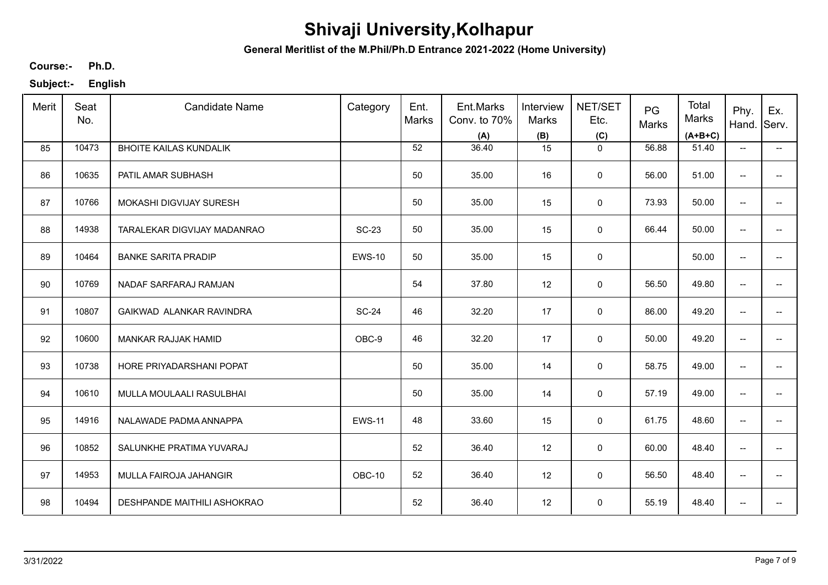**General Meritlist of the M.Phil/Ph.D Entrance 2021-2022 (Home University)**

**Ph.D. Course:-**

| Merit | Seat<br>No. | <b>Candidate Name</b>         | Category      | Ent.<br>Marks | Ent.Marks<br>Conv. to 70%<br>(A) | Interview<br>Marks<br>(B) | NET/SET<br>Etc.<br>(C) | PG<br>Marks | Total<br>Marks<br>$(A+B+C)$ | Phy.<br>Hand.            | Ex.<br>Serv.             |
|-------|-------------|-------------------------------|---------------|---------------|----------------------------------|---------------------------|------------------------|-------------|-----------------------------|--------------------------|--------------------------|
| 85    | 10473       | <b>BHOITE KAILAS KUNDALIK</b> |               | 52            | 36.40                            | 15                        | $\mathbf{0}$           | 56.88       | 51.40                       | $\overline{\phantom{a}}$ | $\overline{\phantom{a}}$ |
| 86    | 10635       | PATIL AMAR SUBHASH            |               | 50            | 35.00                            | 16                        | $\mathbf 0$            | 56.00       | 51.00                       | $\overline{\phantom{a}}$ | -−                       |
| 87    | 10766       | MOKASHI DIGVIJAY SURESH       |               | 50            | 35.00                            | 15                        | 0                      | 73.93       | 50.00                       | $\overline{\phantom{a}}$ | $\qquad \qquad -$        |
| 88    | 14938       | TARALEKAR DIGVIJAY MADANRAO   | <b>SC-23</b>  | 50            | 35.00                            | 15                        | $\mathbf 0$            | 66.44       | 50.00                       | $\overline{\phantom{a}}$ | $\overline{\phantom{a}}$ |
| 89    | 10464       | <b>BANKE SARITA PRADIP</b>    | <b>EWS-10</b> | 50            | 35.00                            | 15                        | 0                      |             | 50.00                       | $\overline{\phantom{m}}$ | -−                       |
| 90    | 10769       | NADAF SARFARAJ RAMJAN         |               | 54            | 37.80                            | 12                        | 0                      | 56.50       | 49.80                       | $\overline{\phantom{a}}$ | $\overline{\phantom{a}}$ |
| 91    | 10807       | GAIKWAD ALANKAR RAVINDRA      | <b>SC-24</b>  | 46            | 32.20                            | 17                        | 0                      | 86.00       | 49.20                       | $\overline{\phantom{m}}$ | -−                       |
| 92    | 10600       | MANKAR RAJJAK HAMID           | OBC-9         | 46            | 32.20                            | 17                        | $\mathbf 0$            | 50.00       | 49.20                       | $\overline{\phantom{m}}$ | $\overline{\phantom{a}}$ |
| 93    | 10738       | HORE PRIYADARSHANI POPAT      |               | 50            | 35.00                            | 14                        | 0                      | 58.75       | 49.00                       | $\overline{\phantom{a}}$ |                          |
| 94    | 10610       | MULLA MOULAALI RASULBHAI      |               | 50            | 35.00                            | 14                        | 0                      | 57.19       | 49.00                       | $\overline{\phantom{a}}$ | --                       |
| 95    | 14916       | NALAWADE PADMA ANNAPPA        | <b>EWS-11</b> | 48            | 33.60                            | 15                        | $\mathsf 0$            | 61.75       | 48.60                       | $\overline{\phantom{a}}$ | $-$                      |
| 96    | 10852       | SALUNKHE PRATIMA YUVARAJ      |               | 52            | 36.40                            | 12                        | 0                      | 60.00       | 48.40                       | $\overline{\phantom{a}}$ | $\overline{\phantom{a}}$ |
| 97    | 14953       | MULLA FAIROJA JAHANGIR        | OBC-10        | 52            | 36.40                            | 12                        | $\mathbf 0$            | 56.50       | 48.40                       | $\overline{\phantom{a}}$ | $\overline{\phantom{a}}$ |
| 98    | 10494       | DESHPANDE MAITHILI ASHOKRAO   |               | 52            | 36.40                            | 12                        | 0                      | 55.19       | 48.40                       | $\overline{\phantom{a}}$ | -−                       |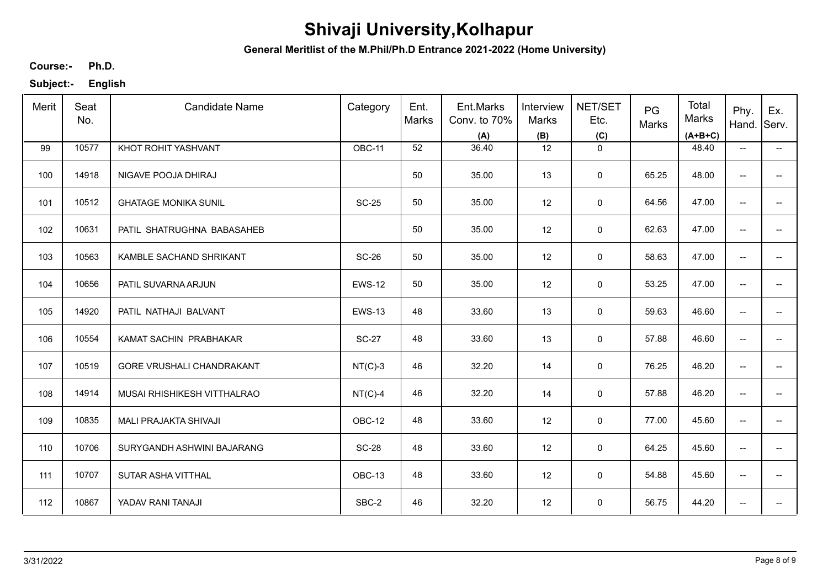**General Meritlist of the M.Phil/Ph.D Entrance 2021-2022 (Home University)**

**Ph.D. Course:-**

| Merit | Seat<br>No. | <b>Candidate Name</b>       | Category      | Ent.<br><b>Marks</b> | Ent.Marks<br>Conv. to 70%<br>(A) | Interview<br>Marks<br>(B) | NET/SET<br>Etc.<br>(C) | PG<br>Marks | Total<br>Marks<br>$(A+B+C)$ | Phy.<br>Hand.                       | Ex.<br>Serv.                          |
|-------|-------------|-----------------------------|---------------|----------------------|----------------------------------|---------------------------|------------------------|-------------|-----------------------------|-------------------------------------|---------------------------------------|
| 99    | 10577       | KHOT ROHIT YASHVANT         | OBC-11        | 52                   | 36.40                            | 12                        | $\mathbf 0$            |             | 48.40                       | $\overline{\phantom{a}}$            | −−                                    |
| 100   | 14918       | NIGAVE POOJA DHIRAJ         |               | 50                   | 35.00                            | 13                        | $\mathbf 0$            | 65.25       | 48.00                       | $\hspace{0.05cm}$ $\hspace{0.05cm}$ | $\hspace{0.05cm}$ – $\hspace{0.05cm}$ |
| 101   | 10512       | <b>GHATAGE MONIKA SUNIL</b> | <b>SC-25</b>  | 50                   | 35.00                            | 12                        | $\mathbf 0$            | 64.56       | 47.00                       | $\overline{\phantom{a}}$            | $\overline{\phantom{a}}$              |
| 102   | 10631       | PATIL SHATRUGHNA BABASAHEB  |               | 50                   | 35.00                            | 12                        | 0                      | 62.63       | 47.00                       | $\overline{\phantom{a}}$            | −−                                    |
| 103   | 10563       | KAMBLE SACHAND SHRIKANT     | <b>SC-26</b>  | 50                   | 35.00                            | 12                        | 0                      | 58.63       | 47.00                       | $\overline{\phantom{a}}$            | $\overline{\phantom{a}}$              |
| 104   | 10656       | PATIL SUVARNA ARJUN         | <b>EWS-12</b> | 50                   | 35.00                            | 12                        | 0                      | 53.25       | 47.00                       | $\overline{\phantom{a}}$            | $\overline{\phantom{a}}$              |
| 105   | 14920       | PATIL NATHAJI BALVANT       | <b>EWS-13</b> | 48                   | 33.60                            | 13                        | $\mathbf 0$            | 59.63       | 46.60                       | $\overline{\phantom{a}}$            | −−                                    |
| 106   | 10554       | KAMAT SACHIN PRABHAKAR      | <b>SC-27</b>  | 48                   | 33.60                            | 13                        | $\mathbf 0$            | 57.88       | 46.60                       | $\overline{\phantom{a}}$            | $\overline{\phantom{a}}$              |
| 107   | 10519       | GORE VRUSHALI CHANDRAKANT   | $NT(C)-3$     | 46                   | 32.20                            | 14                        | 0                      | 76.25       | 46.20                       | $\overline{\phantom{a}}$            | $\overline{\phantom{a}}$              |
| 108   | 14914       | MUSAI RHISHIKESH VITTHALRAO | $NT(C)-4$     | 46                   | 32.20                            | 14                        | $\mathbf 0$            | 57.88       | 46.20                       | $\overline{\phantom{a}}$            | $\overline{\phantom{a}}$              |
| 109   | 10835       | MALI PRAJAKTA SHIVAJI       | OBC-12        | 48                   | 33.60                            | 12                        | $\mathsf 0$            | 77.00       | 45.60                       | $\overline{\phantom{a}}$            | $\overline{\phantom{a}}$              |
| 110   | 10706       | SURYGANDH ASHWINI BAJARANG  | <b>SC-28</b>  | 48                   | 33.60                            | 12                        | $\mathsf 0$            | 64.25       | 45.60                       | $\overline{\phantom{a}}$            | $\overline{\phantom{a}}$              |
| 111   | 10707       | SUTAR ASHA VITTHAL          | OBC-13        | 48                   | 33.60                            | 12                        | $\mathbf 0$            | 54.88       | 45.60                       | $\overline{\phantom{a}}$            | $\overline{\phantom{a}}$              |
| 112   | 10867       | YADAV RANI TANAJI           | SBC-2         | 46                   | 32.20                            | 12                        | $\mathbf 0$            | 56.75       | 44.20                       | $\overline{\phantom{a}}$            | $\overline{\phantom{a}}$              |